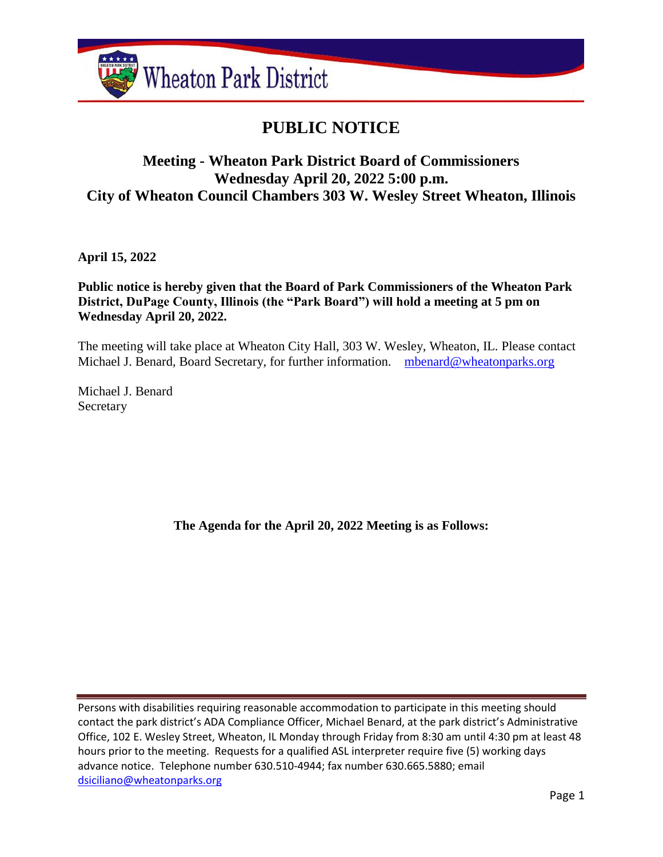

# **PUBLIC NOTICE**

# **Meeting - Wheaton Park District Board of Commissioners Wednesday April 20, 2022 5:00 p.m. City of Wheaton Council Chambers 303 W. Wesley Street Wheaton, Illinois**

**April 15, 2022**

**Public notice is hereby given that the Board of Park Commissioners of the Wheaton Park District, DuPage County, Illinois (the "Park Board") will hold a meeting at 5 pm on Wednesday April 20, 2022.**

The meeting will take place at Wheaton City Hall, 303 W. Wesley, Wheaton, IL. Please contact Michael J. Benard, Board Secretary, for further information. [mbenard@wheatonparks.org](mailto:mbenard@wheatonparks.org)

Michael J. Benard Secretary

**The Agenda for the April 20, 2022 Meeting is as Follows:**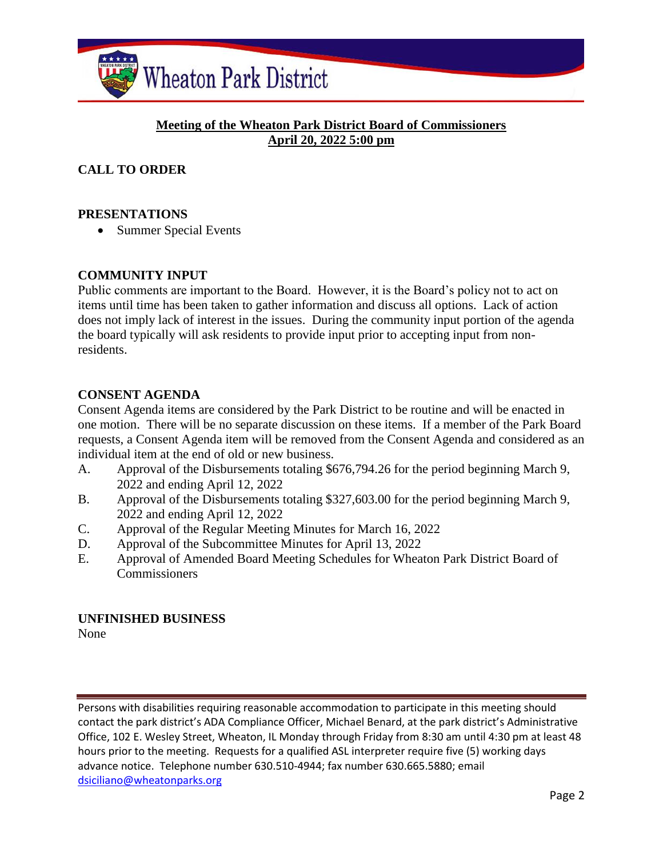

## **Meeting of the Wheaton Park District Board of Commissioners April 20, 2022 5:00 pm**

# **CALL TO ORDER**

#### **PRESENTATIONS**

• Summer Special Events

#### **COMMUNITY INPUT**

Public comments are important to the Board. However, it is the Board's policy not to act on items until time has been taken to gather information and discuss all options. Lack of action does not imply lack of interest in the issues. During the community input portion of the agenda the board typically will ask residents to provide input prior to accepting input from nonresidents.

#### **CONSENT AGENDA**

Consent Agenda items are considered by the Park District to be routine and will be enacted in one motion. There will be no separate discussion on these items. If a member of the Park Board requests, a Consent Agenda item will be removed from the Consent Agenda and considered as an individual item at the end of old or new business.

- A. Approval of the Disbursements totaling \$676,794.26 for the period beginning March 9, 2022 and ending April 12, 2022
- B. Approval of the Disbursements totaling \$327,603.00 for the period beginning March 9, 2022 and ending April 12, 2022
- C. Approval of the Regular Meeting Minutes for March 16, 2022
- D. Approval of the Subcommittee Minutes for April 13, 2022
- E. Approval of Amended Board Meeting Schedules for Wheaton Park District Board of **Commissioners**

#### **UNFINISHED BUSINESS** None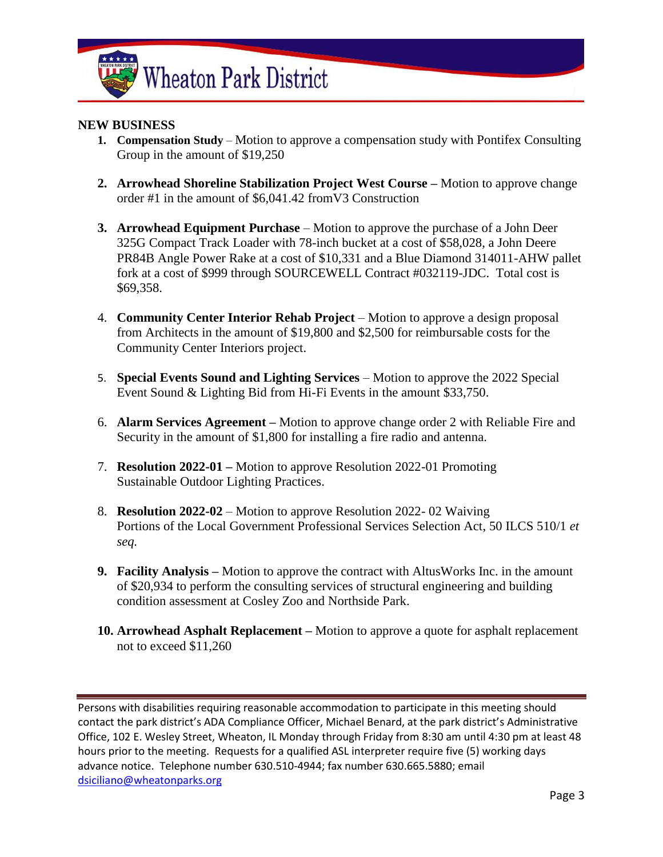

#### **NEW BUSINESS**

- **1. Compensation Study** Motion to approve a compensation study with Pontifex Consulting Group in the amount of \$19,250
- **2. Arrowhead Shoreline Stabilization Project West Course –** Motion to approve change order #1 in the amount of \$6,041.42 fromV3 Construction
- **3. Arrowhead Equipment Purchase** Motion to approve the purchase of a John Deer 325G Compact Track Loader with 78-inch bucket at a cost of \$58,028, a John Deere PR84B Angle Power Rake at a cost of \$10,331 and a Blue Diamond 314011-AHW pallet fork at a cost of \$999 through SOURCEWELL Contract #032119-JDC. Total cost is \$69,358.
- 4. **Community Center Interior Rehab Project** Motion to approve a design proposal from Architects in the amount of \$19,800 and \$2,500 for reimbursable costs for the Community Center Interiors project.
- 5. **Special Events Sound and Lighting Services** Motion to approve the 2022 Special Event Sound & Lighting Bid from Hi-Fi Events in the amount \$33,750.
- 6. **Alarm Services Agreement –** Motion to approve change order 2 with Reliable Fire and Security in the amount of \$1,800 for installing a fire radio and antenna.
- 7. **Resolution 2022-01 –** Motion to approve Resolution 2022-01 Promoting Sustainable Outdoor Lighting Practices.
- 8. **Resolution 2022-02** Motion to approve Resolution 2022- 02 Waiving Portions of the Local Government Professional Services Selection Act, 50 ILCS 510/1 *et seq.*
- **9. Facility Analysis –** Motion to approve the contract with AltusWorks Inc. in the amount of \$20,934 to perform the consulting services of structural engineering and building condition assessment at Cosley Zoo and Northside Park.
- **10. Arrowhead Asphalt Replacement –** Motion to approve a quote for asphalt replacement not to exceed \$11,260